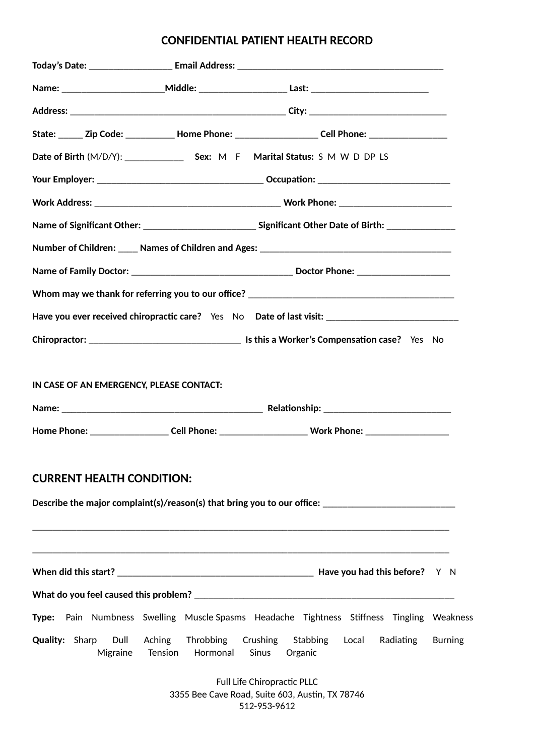# **CONFIDENTIAL PATIENT HEALTH RECORD**

|                                           |                                         | State: ______ Zip Code: ____________ Home Phone: _______________________ Cell Phone: _______________ |
|-------------------------------------------|-----------------------------------------|------------------------------------------------------------------------------------------------------|
|                                           |                                         |                                                                                                      |
|                                           |                                         |                                                                                                      |
|                                           |                                         |                                                                                                      |
|                                           |                                         |                                                                                                      |
|                                           |                                         |                                                                                                      |
|                                           |                                         |                                                                                                      |
|                                           |                                         |                                                                                                      |
|                                           |                                         | Have you ever received chiropractic care? Yes No Date of last visit: _______________________________ |
|                                           |                                         |                                                                                                      |
| IN CASE OF AN EMERGENCY, PLEASE CONTACT:  |                                         |                                                                                                      |
|                                           |                                         |                                                                                                      |
| <b>CURRENT HEALTH CONDITION:</b>          |                                         | Describe the major complaint(s)/reason(s) that bring you to our office:                              |
|                                           |                                         |                                                                                                      |
|                                           |                                         | Type: Pain Numbness Swelling Muscle Spasms Headache Tightness Stiffness Tingling Weakness            |
| <b>Quality: Sharp</b><br>Dull<br>Migraine | Aching Throbbing<br>Hormonal<br>Tension | Crushing<br>Stabbing<br>Local<br>Radiating<br><b>Burning</b><br>Sinus<br>Organic                     |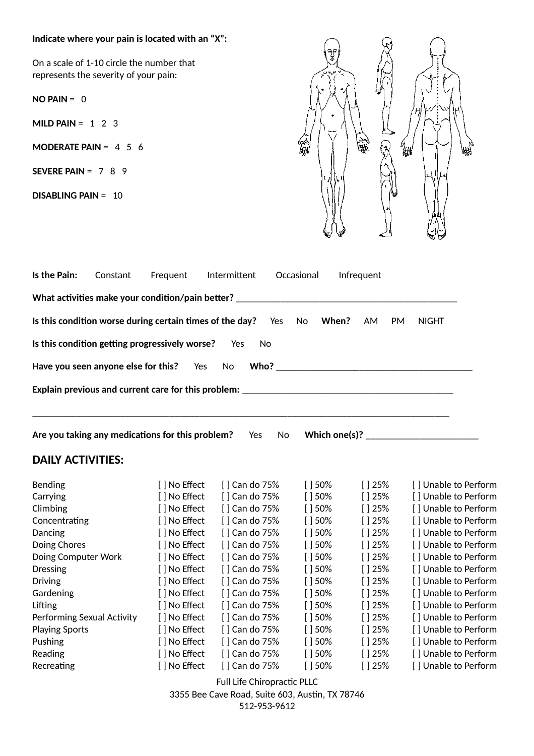### **Indicate where your pain is located with an "X":**

On a scale of 1-10 circle the number that represents the severity of your pain:

**NO PAIN** = 0

**MILD PAIN** = 1 2 3

**MODERATE PAIN** = 4 5 6

**SEVERE PAIN** = 7 8 9

**DISABLING PAIN** = 10



| Is the Pain:<br>Constant                                                          | Frequent      | Intermittent  | Occasional  | Infrequent |                      |
|-----------------------------------------------------------------------------------|---------------|---------------|-------------|------------|----------------------|
| What activities make your condition/pain better? _____                            |               |               |             |            |                      |
| Is this condition worse during certain times of the day?                          |               | Yes           | When?<br>No | AM<br>PM   | <b>NIGHT</b>         |
| Is this condition getting progressively worse?                                    |               | Yes<br>No     |             |            |                      |
| Have you seen anyone else for this?                                               | Yes           | No            |             |            |                      |
| Explain previous and current care for this problem: _____________________________ |               |               |             |            |                      |
| Are you taking any medications for this problem?                                  |               | Yes<br>No     |             |            |                      |
| <b>DAILY ACTIVITIES:</b>                                                          |               |               |             |            |                      |
| <b>Bending</b>                                                                    | [ ] No Effect | [] Can do 75% | $[$ 30%     | $[$ 25%    | [] Unable to Perform |
| Carrying                                                                          | [ ] No Effect | [] Can do 75% | $[$ 30%     | []25%      | [] Unable to Perform |
| Climbing                                                                          | [] No Effect  | [] Can do 75% | $[$ 30%     | []25%      | [] Unable to Perform |
| Concentrating                                                                     | [ ] No Effect | [] Can do 75% | $[$ 150%    | $[$ 25%    | [] Unable to Perform |
| Dancing                                                                           | [] No Effect  | [] Can do 75% | $[$ 30%     | $[$ 25%    | [] Unable to Perform |
| Doing Chores                                                                      | [ ] No Effect | [] Can do 75% | $[$ 30%     | []25%      | [] Unable to Perform |
| Doing Computer Work                                                               | [ ] No Effect | [] Can do 75% | $[$ 30%     | []25%      | [] Unable to Perform |
| <b>Dressing</b>                                                                   | [ ] No Effect | [] Can do 75% | $[$ 150%    | $[$ 25%    | [] Unable to Perform |
| <b>Driving</b>                                                                    | [ ] No Effect | [] Can do 75% | $[$ 150%    | $[$ 25%    | [] Unable to Perform |
| Gardening                                                                         | [ ] No Effect | [] Can do 75% | $[$ 30%     | $[$ ] 25%  | [] Unable to Perform |
| Lifting                                                                           | [ ] No Effect | [] Can do 75% | $[$ 30%     | []25%      | [] Unable to Perform |
| Performing Sexual Activity                                                        | [ ] No Effect | [] Can do 75% | $[$ 150%    | []25%      | [] Unable to Perform |
| <b>Playing Sports</b>                                                             | [ ] No Effect | [] Can do 75% | $[$ 30%     | []25%      | [] Unable to Perform |
| Pushing                                                                           | [ ] No Effect | [] Can do 75% | $[$ $]$ 50% | $[$ ] 25%  | [] Unable to Perform |
| Reading                                                                           | [ ] No Effect | [] Can do 75% | $[$ 150%    | []25%      | [] Unable to Perform |
| Recreating                                                                        | [ ] No Effect | [] Can do 75% | $[$ 150%    | $[$ 25%    | [] Unable to Perform |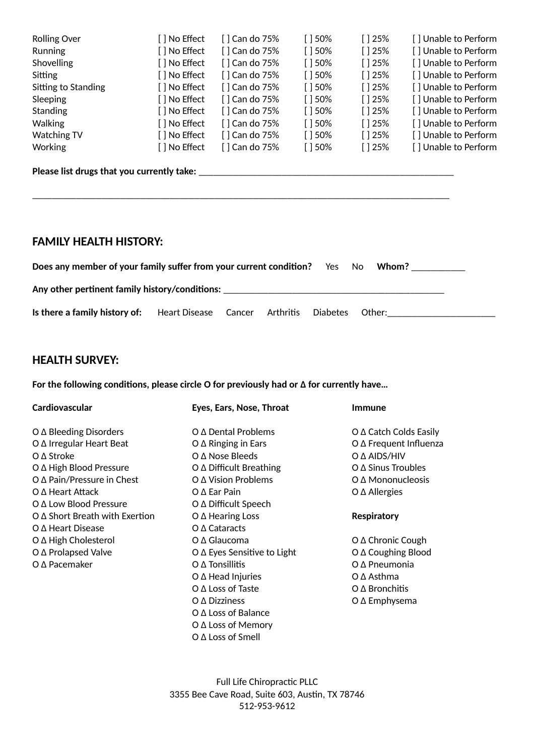| <b>Rolling Over</b> | [ ] No Effect | [ ] Can do 75% | $\lceil$ 150% | $\lceil$ 25%  | [] Unable to Perform |
|---------------------|---------------|----------------|---------------|---------------|----------------------|
| Running             | [ ] No Effect | [] Can do 75%  | $[$ 150%      | $\lceil$ 25%  | [] Unable to Perform |
| Shovelling          | [ ] No Effect | [] Can do 75%  | $[$ 150%      | $\lceil$ 25%  | [] Unable to Perform |
| Sitting             | [ ] No Effect | [] Can do 75%  | $\lceil$ 150% | $\lceil$ 25%  | [] Unable to Perform |
| Sitting to Standing | [ ] No Effect | [ ] Can do 75% | $\lceil$ 150% | $\lceil$ 25%  | [] Unable to Perform |
| Sleeping            | [ ] No Effect | [] Can do 75%  | $\lceil$ 150% | $\lceil$ 25%  | [] Unable to Perform |
| <b>Standing</b>     | [ ] No Effect | [ ] Can do 75% | $\lceil$ 150% | $\lceil$ 25%  | [] Unable to Perform |
| <b>Walking</b>      | [ ] No Effect | [] Can do 75%  | $\lceil$ 150% | $\lceil$ 25%  | [] Unable to Perform |
| Watching TV         | [ ] No Effect | [] Can do 75%  | $[$ 150%      | $\lceil$ 125% | [] Unable to Perform |
| <b>Working</b>      | [ ] No Effect | [] Can do 75%  | $\lceil$ 150% | $\lceil$ 25%  | [] Unable to Perform |

### **Please list drugs that you currently take:** \_\_\_\_\_\_\_\_\_\_\_\_\_\_\_\_\_\_\_\_\_\_\_\_\_\_\_\_\_\_\_\_\_\_\_\_\_\_\_\_\_\_\_\_\_\_\_\_\_\_\_\_

## **FAMILY HEALTH HISTORY:**

|                                                              | <b>Does any member of your family suffer from your current condition?</b> Yes |  |  |          | No.    | Whom? |  |
|--------------------------------------------------------------|-------------------------------------------------------------------------------|--|--|----------|--------|-------|--|
| Any other pertinent family history/conditions:               |                                                                               |  |  |          |        |       |  |
| Is there a family history of: Heart Disease Cancer Arthritis |                                                                               |  |  | Diabetes | Other: |       |  |

\_\_\_\_\_\_\_\_\_\_\_\_\_\_\_\_\_\_\_\_\_\_\_\_\_\_\_\_\_\_\_\_\_\_\_\_\_\_\_\_\_\_\_\_\_\_\_\_\_\_\_\_\_\_\_\_\_\_\_\_\_\_\_\_\_\_\_\_\_\_\_\_\_\_\_\_\_\_\_\_\_\_\_\_\_

# **HEALTH SURVEY:**

**For the following conditions, please circle O for previously had or Δ for currently have…**

| Cardiovascular                        | Eyes, Ears, Nose, Throat           | Immune                        |
|---------------------------------------|------------------------------------|-------------------------------|
| $O \Delta$ Bleeding Disorders         | Ο Δ Dental Problems                | $O \Delta$ Catch Colds Easily |
| O ∆ Irregular Heart Beat              | $O \Delta$ Ringing in Ears         | O ∆ Frequent Influenza        |
| $O \Delta$ Stroke                     | $O \Delta$ Nose Bleeds             | O A AIDS/HIV                  |
| O ∆ High Blood Pressure               | $O \Delta$ Difficult Breathing     | $O \Delta$ Sinus Troubles     |
| $O \Delta$ Pain/Pressure in Chest     | O ∆ Vision Problems                | Ο Δ Mononucleosis             |
| $O \Delta$ Heart Attack               | $O \Delta$ Ear Pain                | $O \Delta$ Allergies          |
| Ο Δ Low Blood Pressure                | O ∆ Difficult Speech               |                               |
| $O \Delta$ Short Breath with Exertion | $O \Delta$ Hearing Loss            | <b>Respiratory</b>            |
| O ∆ Heart Disease                     | $O \Delta$ Cataracts               |                               |
| O ∆ High Cholesterol                  | $O \Delta$ Glaucoma                | O ∆ Chronic Cough             |
| O ∆ Prolapsed Valve                   | $O \Delta$ Eyes Sensitive to Light | O ∆ Coughing Blood            |
| $O \Delta$ Pacemaker                  | $O \Delta$ Tonsillitis             | $O \Delta$ Pneumonia          |
|                                       | $O \Delta$ Head Injuries           | O ∆ Asthma                    |
|                                       | O ∆ Loss of Taste                  | $O \Delta$ Bronchitis         |
|                                       | $O \Delta$ Dizziness               | $O \Delta$ Emphysema          |
|                                       | $O \Delta$ Loss of Balance         |                               |
|                                       | O ∆ Loss of Memory                 |                               |
|                                       | O ∆ Loss of Smell                  |                               |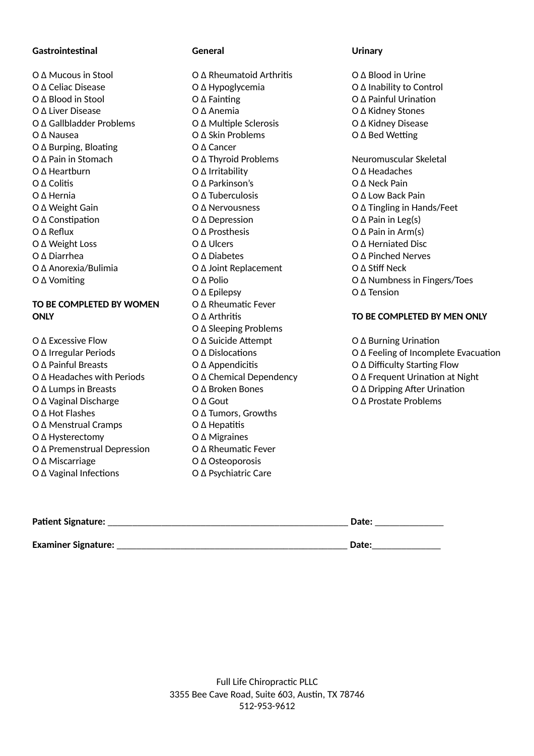#### **Gastrointestinal**

O Δ Mucous in Stool O Δ Celiac Disease O Δ Blood in Stool O Δ Liver Disease O Δ Gallbladder Problems O Δ Nausea O Δ Burping, Bloating O Δ Pain in Stomach O Δ Heartburn O Δ Colitis O Δ Hernia O Δ Weight Gain O Δ Constipation O Δ Reflux O Δ Weight Loss O Δ Diarrhea O Δ Anorexia/Bulimia O Δ Vomiting

### **TO BE COMPLETED BY WOMEN ONLY**

- O Δ Excessive Flow O Δ Irregular Periods O Δ Painful Breasts O Δ Headaches with Periods O Δ Lumps in Breasts O Δ Vaginal Discharge O Δ Hot Flashes O Δ Menstrual Cramps O Δ Hysterectomy O Δ Premenstrual Depression O Δ Miscarriage
- O Δ Vaginal Infections

### **General**

O Δ Rheumatoid Arthritis O Δ Hypoglycemia O Δ Fainting O Δ Anemia O Δ Multiple Sclerosis O Δ Skin Problems O Δ Cancer O Δ Thyroid Problems O Δ Irritability O Δ Parkinson's O Δ Tuberculosis O Δ Nervousness O Δ Depression O Δ Prosthesis O Δ Ulcers O Δ Diabetes O Δ Joint Replacement O Δ Polio O Δ Epilepsy O Δ Rheumatic Fever O Δ Arthritis O Δ Sleeping Problems O Δ Suicide Attempt O Δ Dislocations O Δ Appendicitis O Δ Chemical Dependency O Δ Broken Bones O Δ Gout O Δ Tumors, Growths O Δ Hepatitis O Δ Migraines O Δ Rheumatic Fever O Δ Osteoporosis

O Δ Psychiatric Care

### **Urinary**

O Δ Blood in Urine O Δ Inability to Control O Δ Painful Urination O Δ Kidney Stones O Δ Kidney Disease O Δ Bed Wetting Neuromuscular Skeletal O Δ Headaches O Δ Neck Pain O Δ Low Back Pain O Δ Tingling in Hands/Feet O Δ Pain in Leg(s) O Δ Pain in Arm(s) O Δ Herniated Disc O Δ Pinched Nerves O Δ Stiff Neck O Δ Numbness in Fingers/Toes O Δ Tension **TO BE COMPLETED BY MEN ONLY** O Δ Burning Urination

- O Δ Feeling of Incomplete Evacuation
- O Δ Difficulty Starting Flow
- O Δ Frequent Urination at Night
- O Δ Dripping After Urination
- O Δ Prostate Problems

| <b>Patient Signature:</b>  | Date: |
|----------------------------|-------|
|                            |       |
| <b>Examiner Signature:</b> | Date: |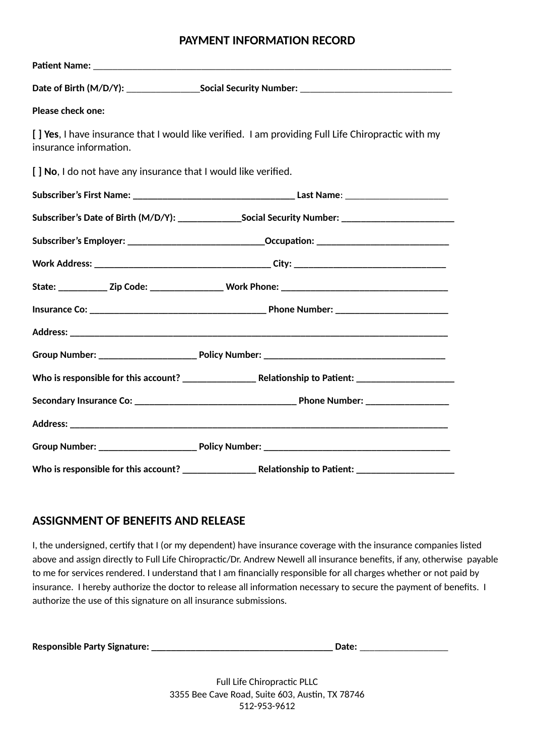## **PAYMENT INFORMATION RECORD**

|                                                                 | Date of Birth (M/D/Y): ____________________Social Security Number: _________________________________ |
|-----------------------------------------------------------------|------------------------------------------------------------------------------------------------------|
| Please check one:                                               |                                                                                                      |
| insurance information.                                          | [ ] Yes, I have insurance that I would like verified. I am providing Full Life Chiropractic with my  |
| [ ] No, I do not have any insurance that I would like verified. |                                                                                                      |
|                                                                 |                                                                                                      |
|                                                                 | Subscriber's Date of Birth (M/D/Y): ________________Social Security Number: _______________________  |
|                                                                 | Subscriber's Employer: ________________________________Occupation: ________________________________  |
|                                                                 |                                                                                                      |
|                                                                 |                                                                                                      |
|                                                                 |                                                                                                      |
|                                                                 |                                                                                                      |
|                                                                 |                                                                                                      |
|                                                                 |                                                                                                      |
|                                                                 |                                                                                                      |
|                                                                 |                                                                                                      |
|                                                                 |                                                                                                      |
|                                                                 |                                                                                                      |

## **ASSIGNMENT OF BENEFITS AND RELEASE**

I, the undersigned, certify that I (or my dependent) have insurance coverage with the insurance companies listed above and assign directly to Full Life Chiropractic/Dr. Andrew Newell all insurance benefits, if any, otherwise payable to me for services rendered. I understand that I am financially responsible for all charges whether or not paid by insurance. I hereby authorize the doctor to release all information necessary to secure the payment of benefits. I authorize the use of this signature on all insurance submissions.

| Responsible Party Signature:<br>Date: |
|---------------------------------------|
|---------------------------------------|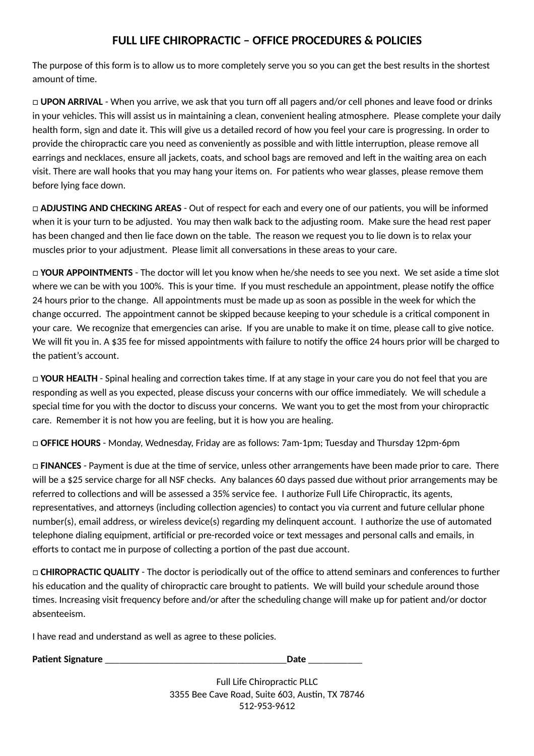# **FULL LIFE CHIROPRACTIC – OFFICE PROCEDURES & POLICIES**

The purpose of this form is to allow us to more completely serve you so you can get the best results in the shortest amount of time.

□ **UPON ARRIVAL** - When you arrive, we ask that you turn off all pagers and/or cell phones and leave food or drinks in your vehicles. This will assist us in maintaining a clean, convenient healing atmosphere. Please complete your daily health form, sign and date it. This will give us a detailed record of how you feel your care is progressing. In order to provide the chiropractic care you need as conveniently as possible and with little interruption, please remove all earrings and necklaces, ensure all jackets, coats, and school bags are removed and left in the waiting area on each visit. There are wall hooks that you may hang your items on. For patients who wear glasses, please remove them before lying face down.

□ **ADJUSTING AND CHECKING AREAS** - Out of respect for each and every one of our patients, you will be informed when it is your turn to be adjusted. You may then walk back to the adjusting room. Make sure the head rest paper has been changed and then lie face down on the table. The reason we request you to lie down is to relax your muscles prior to your adjustment. Please limit all conversations in these areas to your care.

□ **YOUR APPOINTMENTS** - The doctor will let you know when he/she needs to see you next. We set aside a time slot where we can be with you 100%. This is your time. If you must reschedule an appointment, please notify the office 24 hours prior to the change. All appointments must be made up as soon as possible in the week for which the change occurred. The appointment cannot be skipped because keeping to your schedule is a critical component in your care. We recognize that emergencies can arise. If you are unable to make it on time, please call to give notice. We will fit you in. A \$35 fee for missed appointments with failure to notify the office 24 hours prior will be charged to the patient's account.

□ **YOUR HEALTH** - Spinal healing and correction takes time. If at any stage in your care you do not feel that you are responding as well as you expected, please discuss your concerns with our office immediately. We will schedule a special time for you with the doctor to discuss your concerns. We want you to get the most from your chiropractic care. Remember it is not how you are feeling, but it is how you are healing.

□ **OFFICE HOURS** - Monday, Wednesday, Friday are as follows: 7am-1pm; Tuesday and Thursday 12pm-6pm

□ **FINANCES** - Payment is due at the time of service, unless other arrangements have been made prior to care. There will be a \$25 service charge for all NSF checks. Any balances 60 days passed due without prior arrangements may be referred to collections and will be assessed a 35% service fee. I authorize Full Life Chiropractic, its agents, representatives, and attorneys (including collection agencies) to contact you via current and future cellular phone number(s), email address, or wireless device(s) regarding my delinquent account. I authorize the use of automated telephone dialing equipment, artificial or pre-recorded voice or text messages and personal calls and emails, in efforts to contact me in purpose of collecting a portion of the past due account.

□ **CHIROPRACTIC QUALITY** - The doctor is periodically out of the office to attend seminars and conferences to further his education and the quality of chiropractic care brought to patients. We will build your schedule around those times. Increasing visit frequency before and/or after the scheduling change will make up for patient and/or doctor absenteeism.

I have read and understand as well as agree to these policies.

**Patient Signature** \_\_\_\_\_\_\_\_\_\_\_\_\_\_\_\_\_\_\_\_\_\_\_\_\_\_\_\_\_\_\_\_\_\_\_\_\_**Date** \_\_\_\_\_\_\_\_\_\_\_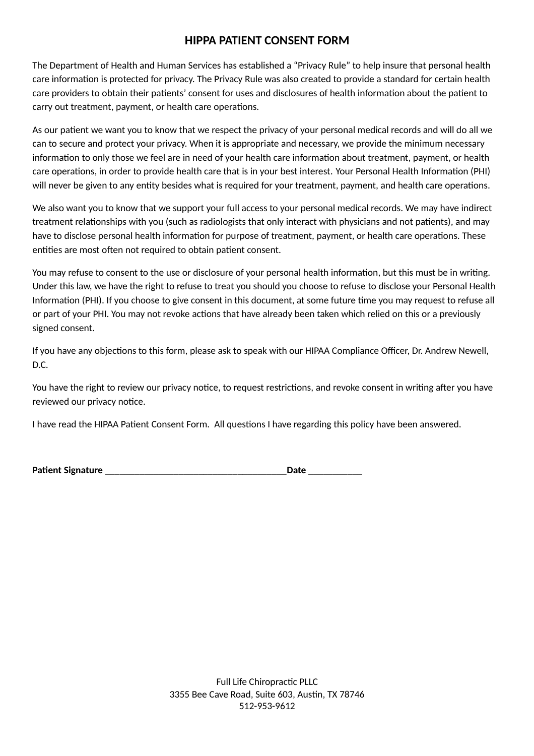## **HIPPA PATIENT CONSENT FORM**

The Department of Health and Human Services has established a "Privacy Rule" to help insure that personal health care information is protected for privacy. The Privacy Rule was also created to provide a standard for certain health care providers to obtain their patients' consent for uses and disclosures of health information about the patient to carry out treatment, payment, or health care operations.

As our patient we want you to know that we respect the privacy of your personal medical records and will do all we can to secure and protect your privacy. When it is appropriate and necessary, we provide the minimum necessary information to only those we feel are in need of your health care information about treatment, payment, or health care operations, in order to provide health care that is in your best interest. Your Personal Health Information (PHI) will never be given to any entity besides what is required for your treatment, payment, and health care operations.

We also want you to know that we support your full access to your personal medical records. We may have indirect treatment relationships with you (such as radiologists that only interact with physicians and not patients), and may have to disclose personal health information for purpose of treatment, payment, or health care operations. These entities are most often not required to obtain patient consent.

You may refuse to consent to the use or disclosure of your personal health information, but this must be in writing. Under this law, we have the right to refuse to treat you should you choose to refuse to disclose your Personal Health Information (PHI). If you choose to give consent in this document, at some future time you may request to refuse all or part of your PHI. You may not revoke actions that have already been taken which relied on this or a previously signed consent.

If you have any objections to this form, please ask to speak with our HIPAA Compliance Officer, Dr. Andrew Newell, D.C.

You have the right to review our privacy notice, to request restrictions, and revoke consent in writing after you have reviewed our privacy notice.

I have read the HIPAA Patient Consent Form. All questions I have regarding this policy have been answered.

| <b>Patient Signature</b> |  |
|--------------------------|--|
|--------------------------|--|